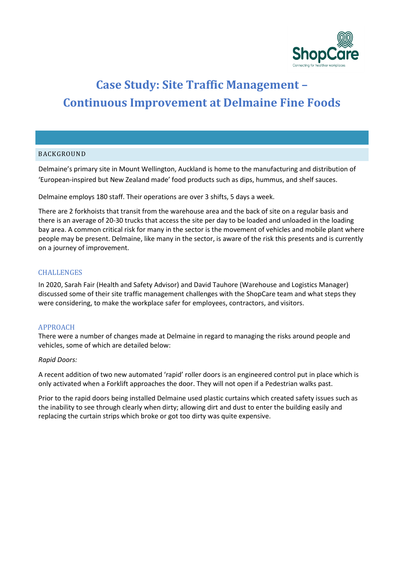

# **Case Study: Site Traffic Management – Continuous Improvement at Delmaine Fine Foods**

#### BACKGROUND

Delmaine's primary site in Mount Wellington, Auckland is home to the manufacturing and distribution of 'European-inspired but New Zealand made' food products such as dips, hummus, and shelf sauces.

Delmaine employs 180 staff. Their operations are over 3 shifts, 5 days a week.

There are 2 forkhoists that transit from the warehouse area and the back of site on a regular basis and there is an average of 20-30 trucks that access the site per day to be loaded and unloaded in the loading bay area. A common critical risk for many in the sector is the movement of vehicles and mobile plant where people may be present. Delmaine, like many in the sector, is aware of the risk this presents and is currently on a journey of improvement.

#### **CHALLENGES**

In 2020, Sarah Fair (Health and Safety Advisor) and David Tauhore (Warehouse and Logistics Manager) discussed some of their site traffic management challenges with the ShopCare team and what steps they were considering, to make the workplace safer for employees, contractors, and visitors.

#### APPROACH

There were a number of changes made at Delmaine in regard to managing the risks around people and vehicles, some of which are detailed below:

#### *Rapid Doors:*

A recent addition of two new automated 'rapid' roller doors is an engineered control put in place which is only activated when a Forklift approaches the door. They will not open if a Pedestrian walks past.

Prior to the rapid doors being installed Delmaine used plastic curtains which created safety issues such as the inability to see through clearly when dirty; allowing dirt and dust to enter the building easily and replacing the curtain strips which broke or got too dirty was quite expensive.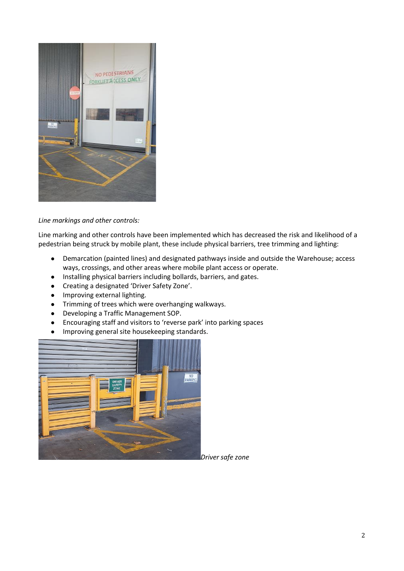

### *Line markings and other controls:*

Line marking and other controls have been implemented which has decreased the risk and likelihood of a pedestrian being struck by mobile plant, these include physical barriers, tree trimming and lighting:

- Demarcation (painted lines) and designated pathways inside and outside the Warehouse; access ways, crossings, and other areas where mobile plant access or operate.
- Installing physical barriers including bollards, barriers, and gates.
- Creating a designated 'Driver Safety Zone'.
- Improving external lighting.
- Trimming of trees which were overhanging walkways.
- Developing a Traffic Management SOP.
- Encouraging staff and visitors to 'reverse park' into parking spaces
- Improving general site housekeeping standards.



*Driver safe zone*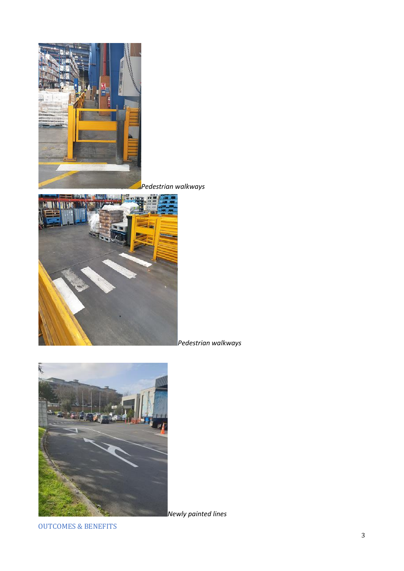

*Pedestrian walkways*



*Pedestrian walkways*



*Newly painted lines*

OUTCOMES & BENEFITS